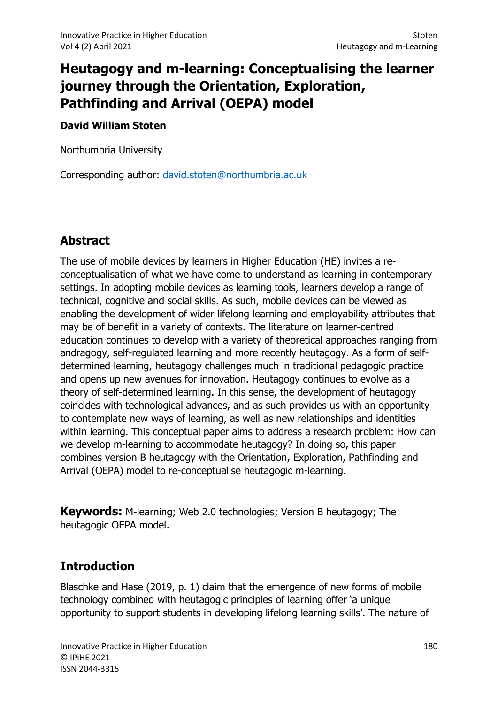# Heutagogy and m-learning: Conceptualising the learner journey through the Orientation, Exploration, Pathfinding and Arrival (OEPA) model

### David William Stoten

Northumbria University

Corresponding author: david.stoten@northumbria.ac.uk

## Abstract

The use of mobile devices by learners in Higher Education (HE) invites a reconceptualisation of what we have come to understand as learning in contemporary settings. In adopting mobile devices as learning tools, learners develop a range of technical, cognitive and social skills. As such, mobile devices can be viewed as enabling the development of wider lifelong learning and employability attributes that may be of benefit in a variety of contexts. The literature on learner-centred education continues to develop with a variety of theoretical approaches ranging from andragogy, self-regulated learning and more recently heutagogy. As a form of selfdetermined learning, heutagogy challenges much in traditional pedagogic practice and opens up new avenues for innovation. Heutagogy continues to evolve as a theory of self-determined learning. In this sense, the development of heutagogy coincides with technological advances, and as such provides us with an opportunity to contemplate new ways of learning, as well as new relationships and identities within learning. This conceptual paper aims to address a research problem: How can we develop m-learning to accommodate heutagogy? In doing so, this paper combines version B heutagogy with the Orientation, Exploration, Pathfinding and Arrival (OEPA) model to re-conceptualise heutagogic m-learning.

**Keywords:** M-learning; Web 2.0 technologies; Version B heutagogy; The heutagogic OEPA model.

## **Introduction**

Blaschke and Hase (2019, p. 1) claim that the emergence of new forms of mobile technology combined with heutagogic principles of learning offer 'a unique opportunity to support students in developing lifelong learning skills'. The nature of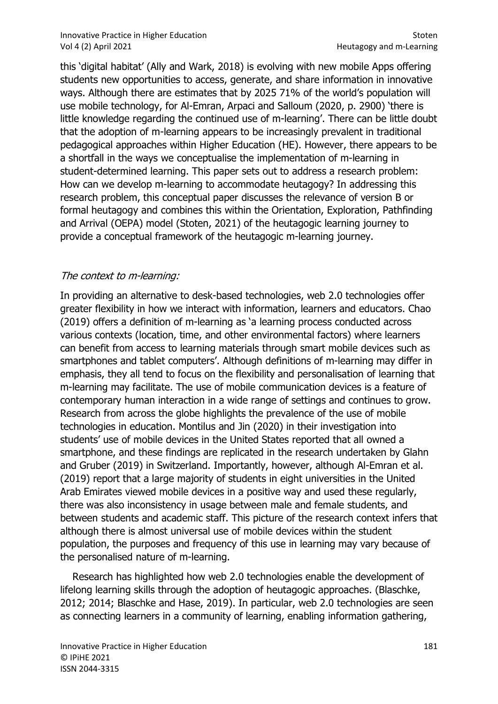#### Innovative Practice in Higher Education Stoten Stoten Stoten Stoten Stoten Stoten Stoten Stoten Stoten Stoten Vol 4 (2) April 2021 **Heutagogy and m-Learning**

this 'digital habitat' (Ally and Wark, 2018) is evolving with new mobile Apps offering students new opportunities to access, generate, and share information in innovative ways. Although there are estimates that by 2025 71% of the world's population will use mobile technology, for Al-Emran, Arpaci and Salloum (2020, p. 2900) 'there is little knowledge regarding the continued use of m-learning'. There can be little doubt that the adoption of m-learning appears to be increasingly prevalent in traditional pedagogical approaches within Higher Education (HE). However, there appears to be a shortfall in the ways we conceptualise the implementation of m-learning in student-determined learning. This paper sets out to address a research problem: How can we develop m-learning to accommodate heutagogy? In addressing this research problem, this conceptual paper discusses the relevance of version B or formal heutagogy and combines this within the Orientation, Exploration, Pathfinding and Arrival (OEPA) model (Stoten, 2021) of the heutagogic learning journey to provide a conceptual framework of the heutagogic m-learning journey.

### The context to m-learning:

In providing an alternative to desk-based technologies, web 2.0 technologies offer greater flexibility in how we interact with information, learners and educators. Chao (2019) offers a definition of m-learning as 'a learning process conducted across various contexts (location, time, and other environmental factors) where learners can benefit from access to learning materials through smart mobile devices such as smartphones and tablet computers'. Although definitions of m-learning may differ in emphasis, they all tend to focus on the flexibility and personalisation of learning that m-learning may facilitate. The use of mobile communication devices is a feature of contemporary human interaction in a wide range of settings and continues to grow. Research from across the globe highlights the prevalence of the use of mobile technologies in education. Montilus and Jin (2020) in their investigation into students' use of mobile devices in the United States reported that all owned a smartphone, and these findings are replicated in the research undertaken by Glahn and Gruber (2019) in Switzerland. Importantly, however, although Al-Emran et al. (2019) report that a large majority of students in eight universities in the United Arab Emirates viewed mobile devices in a positive way and used these regularly, there was also inconsistency in usage between male and female students, and between students and academic staff. This picture of the research context infers that although there is almost universal use of mobile devices within the student population, the purposes and frequency of this use in learning may vary because of the personalised nature of m-learning.

 Research has highlighted how web 2.0 technologies enable the development of lifelong learning skills through the adoption of heutagogic approaches. (Blaschke, 2012; 2014; Blaschke and Hase, 2019). In particular, web 2.0 technologies are seen as connecting learners in a community of learning, enabling information gathering,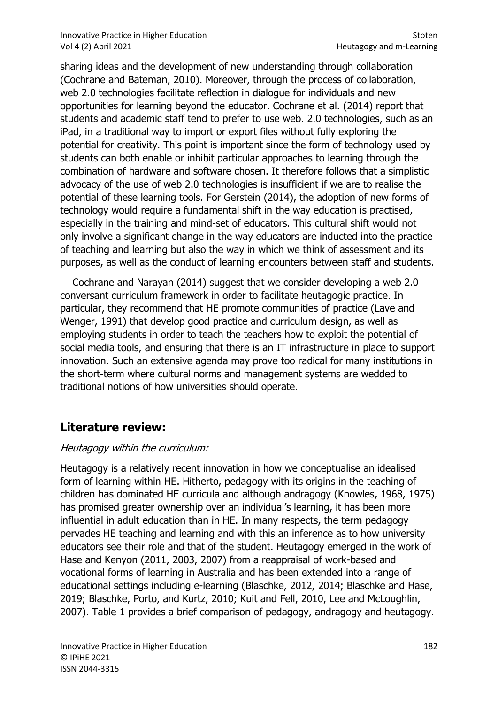sharing ideas and the development of new understanding through collaboration (Cochrane and Bateman, 2010). Moreover, through the process of collaboration, web 2.0 technologies facilitate reflection in dialogue for individuals and new opportunities for learning beyond the educator. Cochrane et al. (2014) report that students and academic staff tend to prefer to use web. 2.0 technologies, such as an iPad, in a traditional way to import or export files without fully exploring the potential for creativity. This point is important since the form of technology used by students can both enable or inhibit particular approaches to learning through the combination of hardware and software chosen. It therefore follows that a simplistic advocacy of the use of web 2.0 technologies is insufficient if we are to realise the potential of these learning tools. For Gerstein (2014), the adoption of new forms of technology would require a fundamental shift in the way education is practised, especially in the training and mind-set of educators. This cultural shift would not only involve a significant change in the way educators are inducted into the practice of teaching and learning but also the way in which we think of assessment and its purposes, as well as the conduct of learning encounters between staff and students.

 Cochrane and Narayan (2014) suggest that we consider developing a web 2.0 conversant curriculum framework in order to facilitate heutagogic practice. In particular, they recommend that HE promote communities of practice (Lave and Wenger, 1991) that develop good practice and curriculum design, as well as employing students in order to teach the teachers how to exploit the potential of social media tools, and ensuring that there is an IT infrastructure in place to support innovation. Such an extensive agenda may prove too radical for many institutions in the short-term where cultural norms and management systems are wedded to traditional notions of how universities should operate.

### Literature review:

### Heutagogy within the curriculum:

Heutagogy is a relatively recent innovation in how we conceptualise an idealised form of learning within HE. Hitherto, pedagogy with its origins in the teaching of children has dominated HE curricula and although andragogy (Knowles, 1968, 1975) has promised greater ownership over an individual's learning, it has been more influential in adult education than in HE. In many respects, the term pedagogy pervades HE teaching and learning and with this an inference as to how university educators see their role and that of the student. Heutagogy emerged in the work of Hase and Kenyon (2011, 2003, 2007) from a reappraisal of work-based and vocational forms of learning in Australia and has been extended into a range of educational settings including e-learning (Blaschke, 2012, 2014; Blaschke and Hase, 2019; Blaschke, Porto, and Kurtz, 2010; Kuit and Fell, 2010, Lee and McLoughlin, 2007). Table 1 provides a brief comparison of pedagogy, andragogy and heutagogy.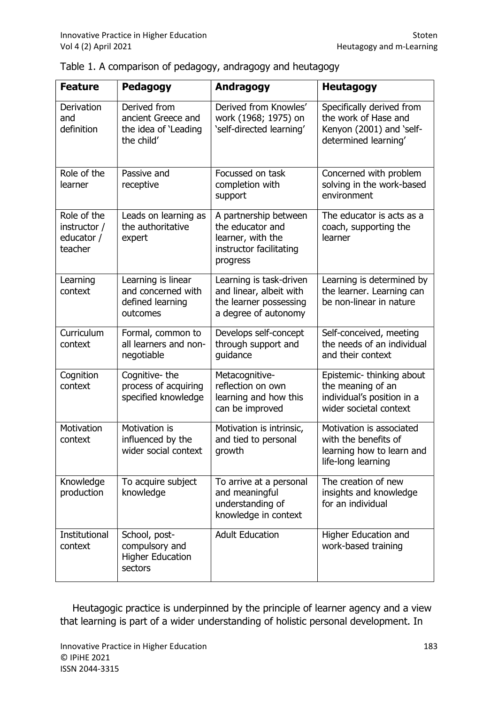| <b>Feature</b>                                       | Pedagogy                                                                 | Andragogy                                                                                             | <b>Heutagogy</b>                                                                                       |
|------------------------------------------------------|--------------------------------------------------------------------------|-------------------------------------------------------------------------------------------------------|--------------------------------------------------------------------------------------------------------|
| Derivation<br>and<br>definition                      | Derived from<br>ancient Greece and<br>the idea of 'Leading<br>the child' | Derived from Knowles'<br>work (1968; 1975) on<br>'self-directed learning'                             | Specifically derived from<br>the work of Hase and<br>Kenyon (2001) and 'self-<br>determined learning'  |
| Role of the<br>learner                               | Passive and<br>receptive                                                 | Focussed on task<br>completion with<br>support                                                        | Concerned with problem<br>solving in the work-based<br>environment                                     |
| Role of the<br>instructor /<br>educator /<br>teacher | Leads on learning as<br>the authoritative<br>expert                      | A partnership between<br>the educator and<br>learner, with the<br>instructor facilitating<br>progress | The educator is acts as a<br>coach, supporting the<br>learner                                          |
| Learning<br>context                                  | Learning is linear<br>and concerned with<br>defined learning<br>outcomes | Learning is task-driven<br>and linear, albeit with<br>the learner possessing<br>a degree of autonomy  | Learning is determined by<br>the learner. Learning can<br>be non-linear in nature                      |
| Curriculum<br>context                                | Formal, common to<br>all learners and non-<br>negotiable                 | Develops self-concept<br>through support and<br>guidance                                              | Self-conceived, meeting<br>the needs of an individual<br>and their context                             |
| Cognition<br>context                                 | Cognitive-the<br>process of acquiring<br>specified knowledge             | Metacognitive-<br>reflection on own<br>learning and how this<br>can be improved                       | Epistemic- thinking about<br>the meaning of an<br>individual's position in a<br>wider societal context |
| Motivation<br>context                                | Motivation is<br>influenced by the<br>wider social context               | Motivation is intrinsic,<br>and tied to personal<br>growth                                            | Motivation is associated<br>with the benefits of<br>learning how to learn and<br>life-long learning    |
| Knowledge<br>production                              | To acquire subject<br>knowledge                                          | To arrive at a personal<br>and meaningful<br>understanding of<br>knowledge in context                 | The creation of new<br>insights and knowledge<br>for an individual                                     |
| Institutional<br>context                             | School, post-<br>compulsory and<br><b>Higher Education</b><br>sectors    | <b>Adult Education</b>                                                                                | Higher Education and<br>work-based training                                                            |

| Table 1. A comparison of pedagogy, andragogy and heutagogy |  |  |  |  |  |
|------------------------------------------------------------|--|--|--|--|--|
|------------------------------------------------------------|--|--|--|--|--|

 Heutagogic practice is underpinned by the principle of learner agency and a view that learning is part of a wider understanding of holistic personal development. In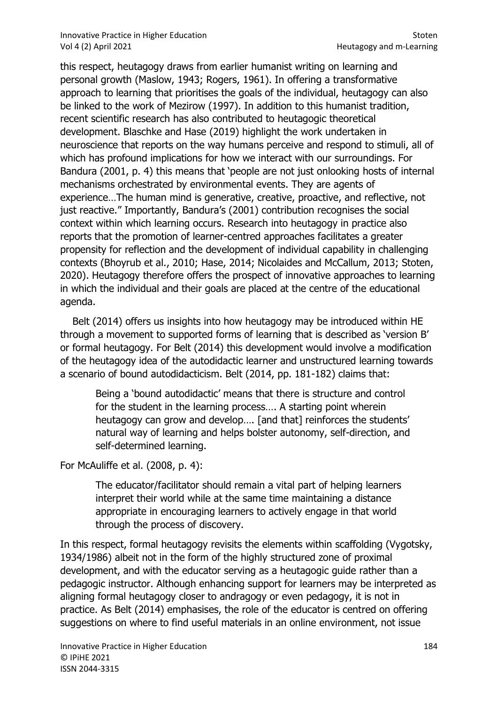#### Innovative Practice in Higher Education Stoten Stoten Stoten Stoten Stoten Stoten Stoten Stoten Stoten Stoten Vol 4 (2) April 2021 **Heutagogy and m-Learning**

this respect, heutagogy draws from earlier humanist writing on learning and personal growth (Maslow, 1943; Rogers, 1961). In offering a transformative approach to learning that prioritises the goals of the individual, heutagogy can also be linked to the work of Mezirow (1997). In addition to this humanist tradition, recent scientific research has also contributed to heutagogic theoretical development. Blaschke and Hase (2019) highlight the work undertaken in neuroscience that reports on the way humans perceive and respond to stimuli, all of which has profound implications for how we interact with our surroundings. For Bandura (2001, p. 4) this means that 'people are not just onlooking hosts of internal mechanisms orchestrated by environmental events. They are agents of experience…The human mind is generative, creative, proactive, and reflective, not just reactive." Importantly, Bandura's (2001) contribution recognises the social context within which learning occurs. Research into heutagogy in practice also reports that the promotion of learner-centred approaches facilitates a greater propensity for reflection and the development of individual capability in challenging contexts (Bhoyrub et al., 2010; Hase, 2014; Nicolaides and McCallum, 2013; Stoten, 2020). Heutagogy therefore offers the prospect of innovative approaches to learning in which the individual and their goals are placed at the centre of the educational agenda.

 Belt (2014) offers us insights into how heutagogy may be introduced within HE through a movement to supported forms of learning that is described as 'version B' or formal heutagogy. For Belt (2014) this development would involve a modification of the heutagogy idea of the autodidactic learner and unstructured learning towards a scenario of bound autodidacticism. Belt (2014, pp. 181-182) claims that:

Being a 'bound autodidactic' means that there is structure and control for the student in the learning process…. A starting point wherein heutagogy can grow and develop.... [and that] reinforces the students' natural way of learning and helps bolster autonomy, self-direction, and self-determined learning.

For McAuliffe et al. (2008, p. 4):

The educator/facilitator should remain a vital part of helping learners interpret their world while at the same time maintaining a distance appropriate in encouraging learners to actively engage in that world through the process of discovery.

In this respect, formal heutagogy revisits the elements within scaffolding (Vygotsky, 1934/1986) albeit not in the form of the highly structured zone of proximal development, and with the educator serving as a heutagogic guide rather than a pedagogic instructor. Although enhancing support for learners may be interpreted as aligning formal heutagogy closer to andragogy or even pedagogy, it is not in practice. As Belt (2014) emphasises, the role of the educator is centred on offering suggestions on where to find useful materials in an online environment, not issue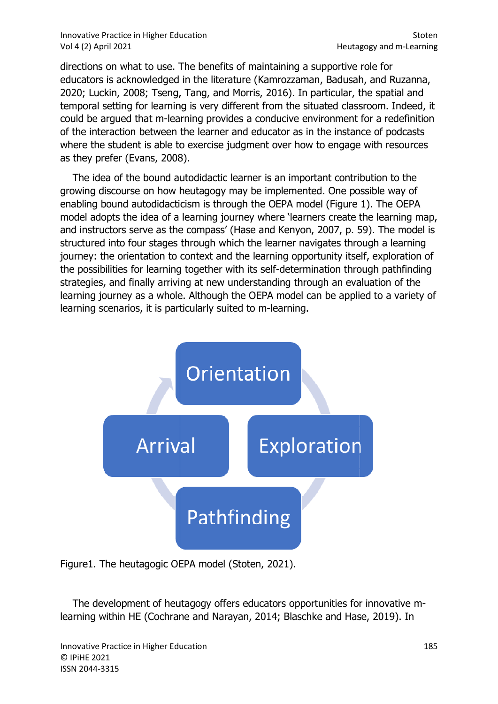Innovative Practice in Higher Education Education Vol 4 (2) April 2021

directions on what to use. The benefits of maintaining a supportive role for educators is acknowledged in the literature (Kamrozzaman, Badusah, and Ruzanna, educators is acknowledged in the literature (Kamrozzaman, Badusah, and Ruzanna,<br>2020; Luckin, 2008; Tseng, Tang, and Morris, 2016). In particular, the spatial and temporal setting for learning is very different from the situated classroom. Indeed, it could be argued that m-learning provides a conducive environment for a redefinition could be argued that m-learning provides a conducive environment for a redefinitio<br>of the interaction between the learner and educator as in the instance of podcasts where the student is able to exercise judgment over how to engage with resources as they prefer (Evans, 2008).

 The idea of the bound autodidactic learner is an important contribution to the growing discourse on how heutagogy may be implemented. One possible way of enabling bound autodidacticism is through the OEPA model (Figure 1). The OEPA model adopts the idea of a learning journey where 'learners create the learning map, and instructors serve as the compass' ( (Hase and Kenyon, 2007, p. 59). The model is structured into four stages through which the learner navigates through a learning journey: the orientation to context and the learning opportunity itself, exploration of structured into four stages through which the learner navigates through a learning<br>journey: the orientation to context and the learning opportunity itself, exploration of<br>the possibilities for learning together with its se strategies, and finally arriving at new understanding through an evaluation of the learning journey as a whole. Although the OEPA model can be applied to a variety of<br>learning scenarios, it is particularly suited to m-learning. learning scenarios, it is particularly suited to m-learning. where the student is able to exercise judgment over how to engage with resources<br>as they prefer (Evans, 2008).<br>The idea of the bound autodidactic learner is an important contribution to the<br>growing discourse on how heutago



Figure1. The heutagogic OEPA model (Stoten, 2021).

The development of heutagogy offers educators opportunities for innovative mlearning within HE (Cochrane and Narayan, 2014; Blaschke and Hase, 2019) 2019). In

Innovative Practice in Higher Education © IPiHE 2021 ISSN 2044-3315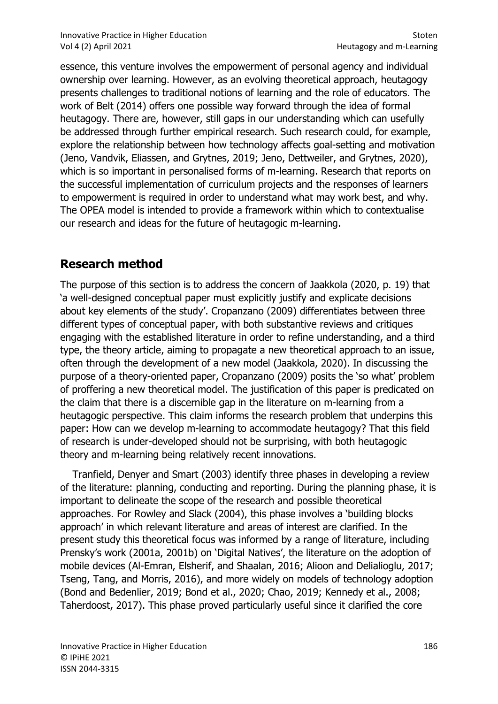essence, this venture involves the empowerment of personal agency and individual ownership over learning. However, as an evolving theoretical approach, heutagogy presents challenges to traditional notions of learning and the role of educators. The work of Belt (2014) offers one possible way forward through the idea of formal heutagogy. There are, however, still gaps in our understanding which can usefully be addressed through further empirical research. Such research could, for example, explore the relationship between how technology affects goal-setting and motivation (Jeno, Vandvik, Eliassen, and Grytnes, 2019; Jeno, Dettweiler, and Grytnes, 2020), which is so important in personalised forms of m-learning. Research that reports on the successful implementation of curriculum projects and the responses of learners to empowerment is required in order to understand what may work best, and why. The OPEA model is intended to provide a framework within which to contextualise our research and ideas for the future of heutagogic m-learning.

## Research method

The purpose of this section is to address the concern of Jaakkola (2020, p. 19) that 'a well-designed conceptual paper must explicitly justify and explicate decisions about key elements of the study'. Cropanzano (2009) differentiates between three different types of conceptual paper, with both substantive reviews and critiques engaging with the established literature in order to refine understanding, and a third type, the theory article, aiming to propagate a new theoretical approach to an issue, often through the development of a new model (Jaakkola, 2020). In discussing the purpose of a theory-oriented paper, Cropanzano (2009) posits the 'so what' problem of proffering a new theoretical model. The justification of this paper is predicated on the claim that there is a discernible gap in the literature on m-learning from a heutagogic perspective. This claim informs the research problem that underpins this paper: How can we develop m-learning to accommodate heutagogy? That this field of research is under-developed should not be surprising, with both heutagogic theory and m-learning being relatively recent innovations.

 Tranfield, Denyer and Smart (2003) identify three phases in developing a review of the literature: planning, conducting and reporting. During the planning phase, it is important to delineate the scope of the research and possible theoretical approaches. For Rowley and Slack (2004), this phase involves a 'building blocks approach' in which relevant literature and areas of interest are clarified. In the present study this theoretical focus was informed by a range of literature, including Prensky's work (2001a, 2001b) on 'Digital Natives', the literature on the adoption of mobile devices (Al-Emran, Elsherif, and Shaalan, 2016; Alioon and Delialioglu, 2017; Tseng, Tang, and Morris, 2016), and more widely on models of technology adoption (Bond and Bedenlier, 2019; Bond et al., 2020; Chao, 2019; Kennedy et al., 2008; Taherdoost, 2017). This phase proved particularly useful since it clarified the core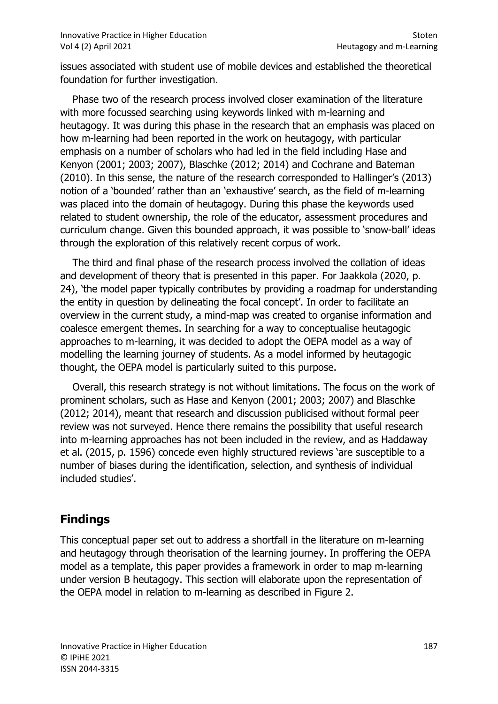issues associated with student use of mobile devices and established the theoretical foundation for further investigation.

 Phase two of the research process involved closer examination of the literature with more focussed searching using keywords linked with m-learning and heutagogy. It was during this phase in the research that an emphasis was placed on how m-learning had been reported in the work on heutagogy, with particular emphasis on a number of scholars who had led in the field including Hase and Kenyon (2001; 2003; 2007), Blaschke (2012; 2014) and Cochrane and Bateman (2010). In this sense, the nature of the research corresponded to Hallinger's (2013) notion of a 'bounded' rather than an 'exhaustive' search, as the field of m-learning was placed into the domain of heutagogy. During this phase the keywords used related to student ownership, the role of the educator, assessment procedures and curriculum change. Given this bounded approach, it was possible to 'snow-ball' ideas through the exploration of this relatively recent corpus of work.

 The third and final phase of the research process involved the collation of ideas and development of theory that is presented in this paper. For Jaakkola (2020, p. 24), 'the model paper typically contributes by providing a roadmap for understanding the entity in question by delineating the focal concept'. In order to facilitate an overview in the current study, a mind-map was created to organise information and coalesce emergent themes. In searching for a way to conceptualise heutagogic approaches to m-learning, it was decided to adopt the OEPA model as a way of modelling the learning journey of students. As a model informed by heutagogic thought, the OEPA model is particularly suited to this purpose.

 Overall, this research strategy is not without limitations. The focus on the work of prominent scholars, such as Hase and Kenyon (2001; 2003; 2007) and Blaschke (2012; 2014), meant that research and discussion publicised without formal peer review was not surveyed. Hence there remains the possibility that useful research into m-learning approaches has not been included in the review, and as Haddaway et al. (2015, p. 1596) concede even highly structured reviews 'are susceptible to a number of biases during the identification, selection, and synthesis of individual included studies'.

## Findings

This conceptual paper set out to address a shortfall in the literature on m-learning and heutagogy through theorisation of the learning journey. In proffering the OEPA model as a template, this paper provides a framework in order to map m-learning under version B heutagogy. This section will elaborate upon the representation of the OEPA model in relation to m-learning as described in Figure 2.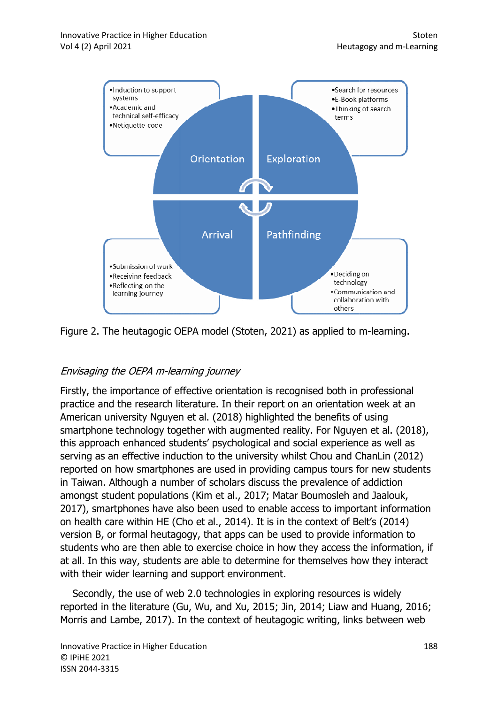

Figure 2. The heutagogic OEPA model (Stoten, 2021) as applied to m-learning.

### Envisaging the OEPA m-learning journey learning journey

Firstly, the importance of effective orientation is recognised both in professional Firstly, the importance of effective orientation is recognised both in professional<br>practice and the research literature. In their report on an orientation week at an American university Nguyen et al. (2018) highlighted the benefits of using smartphone technology together with augmented reality. For Nguyen et al. (2018), this approach enhanced students' psychological and social experience as well as serving as an effective induction to the university whilst Chou and ChanLin (2012) reported on how smartphones are used in providing campus tours for new students in Taiwan. Although a number of scholars discuss the prevalence of addiction amongst student populations (Kim et al., 2017; Matar Boumosleh and Jaalouk, 2017), smartphones have also been used to enable access to important information 2017), smartphones have also been used to enable access to important informa<br>on health care within HE (Cho et al., 2014). It is in the context of Belt's (2014) version B, or formal heutagogy, that apps can be used to provide information to students who are then able to exercise choice in how they access the information, if at all. In this way, students are able to determine for themselves how they interact with their wider learning and support environment. martphone technology together with augmented reality. For Nguyen et al. (2018),<br>his approach enhanced students' psychological and social experience as well as<br>erving as an effective induction to the university whilst Chou able to exercise choice in how they access the i<br>ents are able to determine for themselves how<br>g and support environment. re. In their report on an orientation week at<br>. (2018) highlighted the benefits of using<br>with augmented reality. For Nguyen et al. (2<br>' psychological and social experience as well<br>to the university whilst Chou and ChanLin

Secondly, the use of web 2.0 technologies in exploring resources is widely reported in the literature (Gu, Wu, and Xu, 2015; Jin, 2014; Liaw and Huang, 2016; Morris and Lambe, 2017). In the context of heutagogic writing, links between web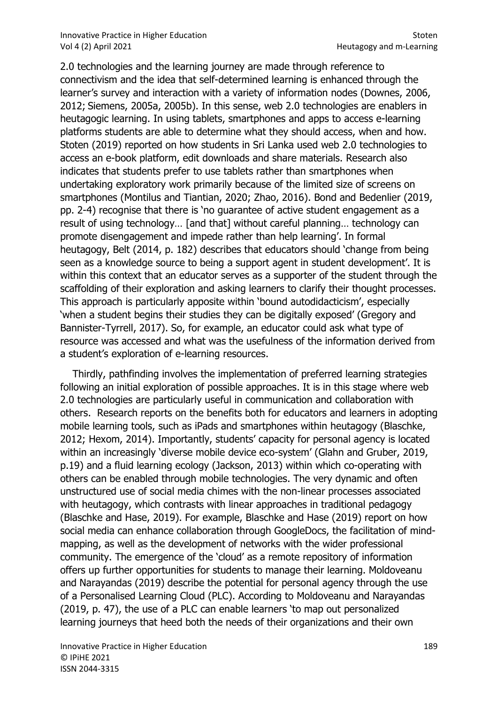2.0 technologies and the learning journey are made through reference to connectivism and the idea that self-determined learning is enhanced through the learner's survey and interaction with a variety of information nodes (Downes, 2006, 2012; Siemens, 2005a, 2005b). In this sense, web 2.0 technologies are enablers in heutagogic learning. In using tablets, smartphones and apps to access e-learning platforms students are able to determine what they should access, when and how. Stoten (2019) reported on how students in Sri Lanka used web 2.0 technologies to access an e-book platform, edit downloads and share materials. Research also indicates that students prefer to use tablets rather than smartphones when undertaking exploratory work primarily because of the limited size of screens on smartphones (Montilus and Tiantian, 2020; Zhao, 2016). Bond and Bedenlier (2019, pp. 2-4) recognise that there is 'no guarantee of active student engagement as a result of using technology… [and that] without careful planning… technology can promote disengagement and impede rather than help learning'. In formal heutagogy, Belt (2014, p. 182) describes that educators should 'change from being seen as a knowledge source to being a support agent in student development'. It is within this context that an educator serves as a supporter of the student through the scaffolding of their exploration and asking learners to clarify their thought processes. This approach is particularly apposite within 'bound autodidacticism', especially 'when a student begins their studies they can be digitally exposed' (Gregory and Bannister-Tyrrell, 2017). So, for example, an educator could ask what type of resource was accessed and what was the usefulness of the information derived from a student's exploration of e-learning resources.

 Thirdly, pathfinding involves the implementation of preferred learning strategies following an initial exploration of possible approaches. It is in this stage where web 2.0 technologies are particularly useful in communication and collaboration with others. Research reports on the benefits both for educators and learners in adopting mobile learning tools, such as iPads and smartphones within heutagogy (Blaschke, 2012; Hexom, 2014). Importantly, students' capacity for personal agency is located within an increasingly 'diverse mobile device eco-system' (Glahn and Gruber, 2019, p.19) and a fluid learning ecology (Jackson, 2013) within which co-operating with others can be enabled through mobile technologies. The very dynamic and often unstructured use of social media chimes with the non-linear processes associated with heutagogy, which contrasts with linear approaches in traditional pedagogy (Blaschke and Hase, 2019). For example, Blaschke and Hase (2019) report on how social media can enhance collaboration through GoogleDocs, the facilitation of mindmapping, as well as the development of networks with the wider professional community. The emergence of the 'cloud' as a remote repository of information offers up further opportunities for students to manage their learning. Moldoveanu and Narayandas (2019) describe the potential for personal agency through the use of a Personalised Learning Cloud (PLC). According to Moldoveanu and Narayandas (2019, p. 47), the use of a PLC can enable learners 'to map out personalized learning journeys that heed both the needs of their organizations and their own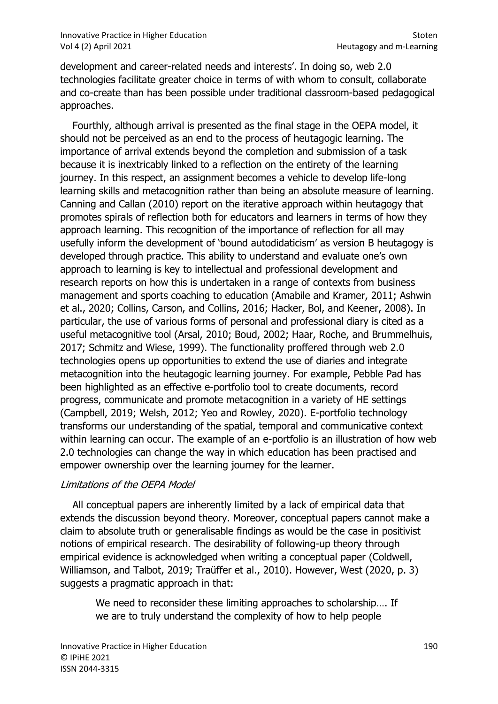development and career-related needs and interests'. In doing so, web 2.0 technologies facilitate greater choice in terms of with whom to consult, collaborate and co-create than has been possible under traditional classroom-based pedagogical approaches.

 Fourthly, although arrival is presented as the final stage in the OEPA model, it should not be perceived as an end to the process of heutagogic learning. The importance of arrival extends beyond the completion and submission of a task because it is inextricably linked to a reflection on the entirety of the learning journey. In this respect, an assignment becomes a vehicle to develop life-long learning skills and metacognition rather than being an absolute measure of learning. Canning and Callan (2010) report on the iterative approach within heutagogy that promotes spirals of reflection both for educators and learners in terms of how they approach learning. This recognition of the importance of reflection for all may usefully inform the development of 'bound autodidaticism' as version B heutagogy is developed through practice. This ability to understand and evaluate one's own approach to learning is key to intellectual and professional development and research reports on how this is undertaken in a range of contexts from business management and sports coaching to education (Amabile and Kramer, 2011; Ashwin et al., 2020; Collins, Carson, and Collins, 2016; Hacker, Bol, and Keener, 2008). In particular, the use of various forms of personal and professional diary is cited as a useful metacognitive tool (Arsal, 2010; Boud, 2002; Haar, Roche, and Brummelhuis, 2017; Schmitz and Wiese, 1999). The functionality proffered through web 2.0 technologies opens up opportunities to extend the use of diaries and integrate metacognition into the heutagogic learning journey. For example, Pebble Pad has been highlighted as an effective e-portfolio tool to create documents, record progress, communicate and promote metacognition in a variety of HE settings (Campbell, 2019; Welsh, 2012; Yeo and Rowley, 2020). E-portfolio technology transforms our understanding of the spatial, temporal and communicative context within learning can occur. The example of an e-portfolio is an illustration of how web 2.0 technologies can change the way in which education has been practised and empower ownership over the learning journey for the learner.

#### Limitations of the OEPA Model

 All conceptual papers are inherently limited by a lack of empirical data that extends the discussion beyond theory. Moreover, conceptual papers cannot make a claim to absolute truth or generalisable findings as would be the case in positivist notions of empirical research. The desirability of following-up theory through empirical evidence is acknowledged when writing a conceptual paper (Coldwell, Williamson, and Talbot, 2019; Traüffer et al., 2010). However, West (2020, p. 3) suggests a pragmatic approach in that:

We need to reconsider these limiting approaches to scholarship…. If we are to truly understand the complexity of how to help people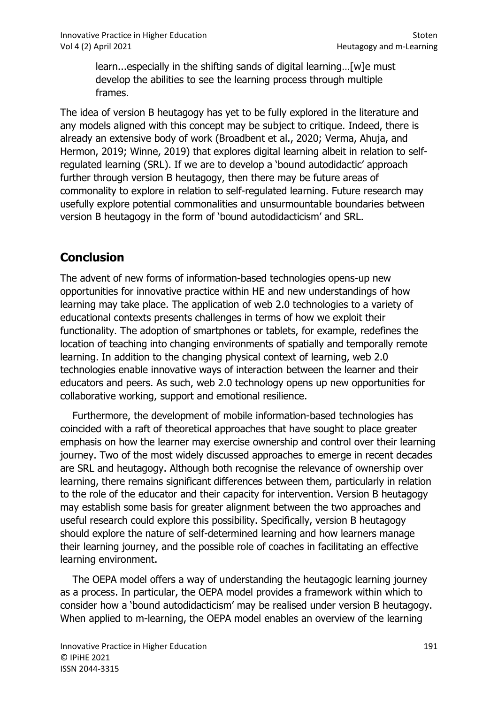learn...especially in the shifting sands of digital learning…[w]e must develop the abilities to see the learning process through multiple frames.

The idea of version B heutagogy has yet to be fully explored in the literature and any models aligned with this concept may be subject to critique. Indeed, there is already an extensive body of work (Broadbent et al., 2020; Verma, Ahuja, and Hermon, 2019; Winne, 2019) that explores digital learning albeit in relation to selfregulated learning (SRL). If we are to develop a 'bound autodidactic' approach further through version B heutagogy, then there may be future areas of commonality to explore in relation to self-regulated learning. Future research may usefully explore potential commonalities and unsurmountable boundaries between version B heutagogy in the form of 'bound autodidacticism' and SRL.

## **Conclusion**

The advent of new forms of information-based technologies opens-up new opportunities for innovative practice within HE and new understandings of how learning may take place. The application of web 2.0 technologies to a variety of educational contexts presents challenges in terms of how we exploit their functionality. The adoption of smartphones or tablets, for example, redefines the location of teaching into changing environments of spatially and temporally remote learning. In addition to the changing physical context of learning, web 2.0 technologies enable innovative ways of interaction between the learner and their educators and peers. As such, web 2.0 technology opens up new opportunities for collaborative working, support and emotional resilience.

 Furthermore, the development of mobile information-based technologies has coincided with a raft of theoretical approaches that have sought to place greater emphasis on how the learner may exercise ownership and control over their learning journey. Two of the most widely discussed approaches to emerge in recent decades are SRL and heutagogy. Although both recognise the relevance of ownership over learning, there remains significant differences between them, particularly in relation to the role of the educator and their capacity for intervention. Version B heutagogy may establish some basis for greater alignment between the two approaches and useful research could explore this possibility. Specifically, version B heutagogy should explore the nature of self-determined learning and how learners manage their learning journey, and the possible role of coaches in facilitating an effective learning environment.

 The OEPA model offers a way of understanding the heutagogic learning journey as a process. In particular, the OEPA model provides a framework within which to consider how a 'bound autodidacticism' may be realised under version B heutagogy. When applied to m-learning, the OEPA model enables an overview of the learning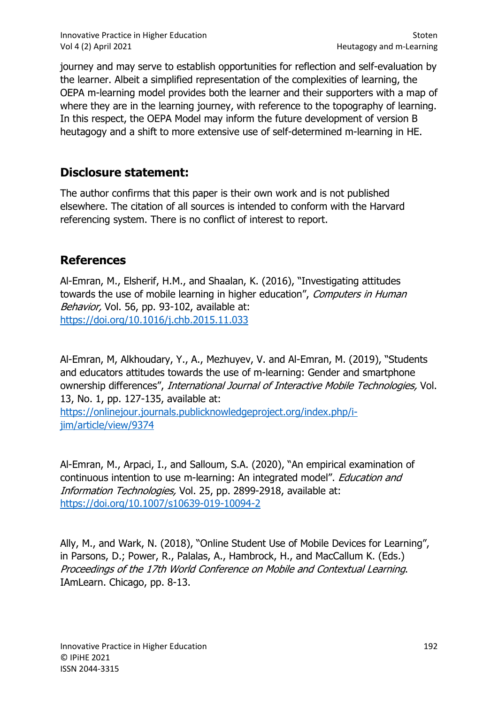Innovative Practice in Higher Education Stoten Stoten Stoten Stoten Stoten Stoten Stoten Stoten Stoten Stoten Vol 4 (2) April 2021 **Heutagogy and m-Learning** 

journey and may serve to establish opportunities for reflection and self-evaluation by the learner. Albeit a simplified representation of the complexities of learning, the OEPA m-learning model provides both the learner and their supporters with a map of where they are in the learning journey, with reference to the topography of learning. In this respect, the OEPA Model may inform the future development of version B heutagogy and a shift to more extensive use of self-determined m-learning in HE.

### Disclosure statement:

The author confirms that this paper is their own work and is not published elsewhere. The citation of all sources is intended to conform with the Harvard referencing system. There is no conflict of interest to report.

## References

Al-Emran, M., Elsherif, H.M., and Shaalan, K. (2016), "Investigating attitudes towards the use of mobile learning in higher education", Computers in Human Behavior, Vol. 56, pp. 93-102, available at: https://doi.org/10.1016/j.chb.2015.11.033

Al-Emran, M, Alkhoudary, Y., A., Mezhuyev, V. and Al-Emran, M. (2019), "Students and educators attitudes towards the use of m-learning: Gender and smartphone ownership differences", International Journal of Interactive Mobile Technologies, Vol. 13, No. 1, pp. 127-135, available at: https://onlinejour.journals.publicknowledgeproject.org/index.php/ijim/article/view/9374

Al-Emran, M., Arpaci, I., and Salloum, S.A. (2020), "An empirical examination of continuous intention to use m-learning: An integrated model". Education and Information Technologies, Vol. 25, pp. 2899-2918, available at: https://doi.org/10.1007/s10639-019-10094-2

Ally, M., and Wark, N. (2018), "Online Student Use of Mobile Devices for Learning", in Parsons, D.; Power, R., Palalas, A., Hambrock, H., and MacCallum K. (Eds.) Proceedings of the 17th World Conference on Mobile and Contextual Learning. IAmLearn. Chicago, pp. 8-13.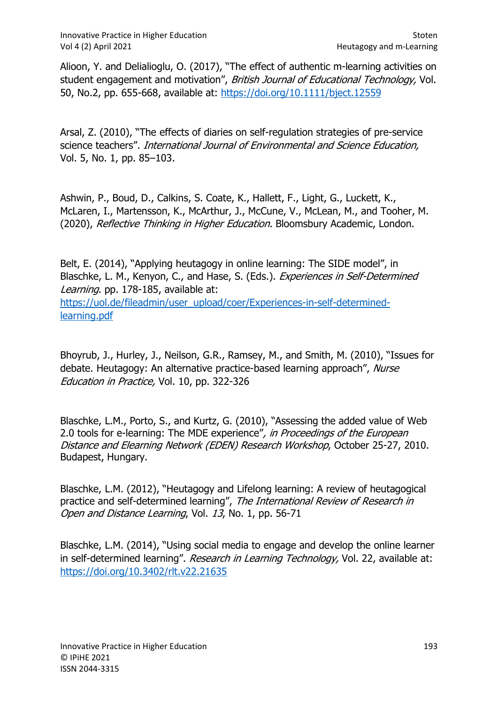Alioon, Y. and Delialioglu, O. (2017), "The effect of authentic m-learning activities on student engagement and motivation", British Journal of Educational Technology, Vol. 50, No.2, pp. 655-668, available at: https://doi.org/10.1111/bject.12559

Arsal, Z. (2010), "The effects of diaries on self-regulation strategies of pre-service science teachers". International Journal of Environmental and Science Education, Vol. 5, No. 1, pp. 85–103.

Ashwin, P., Boud, D., Calkins, S. Coate, K., Hallett, F., Light, G., Luckett, K., McLaren, I., Martensson, K., McArthur, J., McCune, V., McLean, M., and Tooher, M. (2020), Reflective Thinking in Higher Education. Bloomsbury Academic, London.

Belt, E. (2014), "Applying heutagogy in online learning: The SIDE model", in Blaschke, L. M., Kenyon, C., and Hase, S. (Eds.). Experiences in Self-Determined Learning. pp. 178-185, available at: https://uol.de/fileadmin/user\_upload/coer/Experiences-in-self-determinedlearning.pdf

Bhoyrub, J., Hurley, J., Neilson, G.R., Ramsey, M., and Smith, M. (2010), "Issues for debate. Heutagogy: An alternative practice-based learning approach", Nurse Education in Practice, Vol. 10, pp. 322-326

Blaschke, L.M., Porto, S., and Kurtz, G. (2010), "Assessing the added value of Web 2.0 tools for e-learning: The MDE experience", in Proceedings of the European Distance and Elearning Network (EDEN) Research Workshop, October 25-27, 2010. Budapest, Hungary.

Blaschke, L.M. (2012), "Heutagogy and Lifelong learning: A review of heutagogical practice and self-determined learning", The International Review of Research in Open and Distance Learning, Vol. 13, No. 1, pp. 56-71

Blaschke, L.M. (2014), "Using social media to engage and develop the online learner in self-determined learning". Research in Learning Technology, Vol. 22, available at: https://doi.org/10.3402/rlt.v22.21635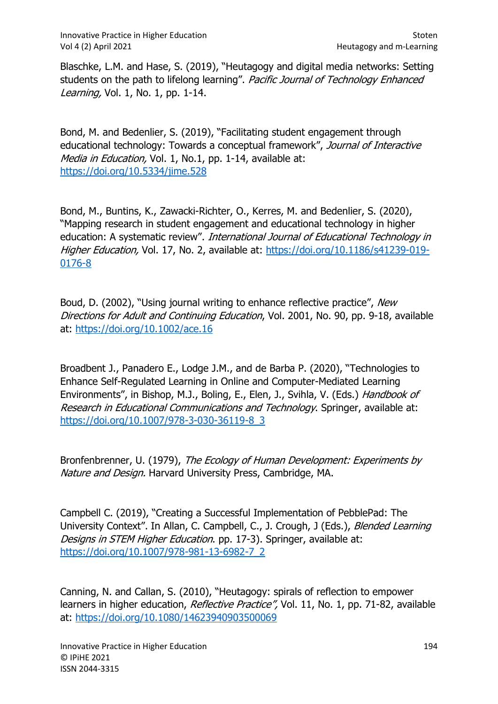Blaschke, L.M. and Hase, S. (2019), "Heutagogy and digital media networks: Setting students on the path to lifelong learning". Pacific Journal of Technology Enhanced Learning, Vol. 1, No. 1, pp. 1-14.

Bond, M. and Bedenlier, S. (2019), "Facilitating student engagement through educational technology: Towards a conceptual framework", Journal of Interactive Media in Education, Vol. 1, No.1, pp. 1-14, available at: https://doi.org/10.5334/jime.528

Bond, M., Buntins, K., Zawacki-Richter, O., Kerres, M. and Bedenlier, S. (2020), "Mapping research in student engagement and educational technology in higher education: A systematic review". International Journal of Educational Technology in Higher Education, Vol. 17, No. 2, available at: https://doi.org/10.1186/s41239-019-0176-8

Boud, D. (2002), "Using journal writing to enhance reflective practice", New Directions for Adult and Continuing Education, Vol. 2001, No. 90, pp. 9-18, available at: https://doi.org/10.1002/ace.16

Broadbent J., Panadero E., Lodge J.M., and de Barba P. (2020), "Technologies to Enhance Self-Regulated Learning in Online and Computer-Mediated Learning Environments", in Bishop, M.J., Boling, E., Elen, J., Svihla, V. (Eds.) Handbook of Research in Educational Communications and Technology. Springer, available at: https://doi.org/10.1007/978-3-030-36119-8\_3

Bronfenbrenner, U. (1979), The Ecology of Human Development: Experiments by Nature and Design. Harvard University Press, Cambridge, MA.

Campbell C. (2019), "Creating a Successful Implementation of PebblePad: The University Context". In Allan, C. Campbell, C., J. Crough, J (Eds.), Blended Learning Designs in STEM Higher Education. pp. 17-3). Springer, available at: https://doi.org/10.1007/978-981-13-6982-7\_2

Canning, N. and Callan, S. (2010), "Heutagogy: spirals of reflection to empower learners in higher education, Reflective Practice", Vol. 11, No. 1, pp. 71-82, available at: https://doi.org/10.1080/14623940903500069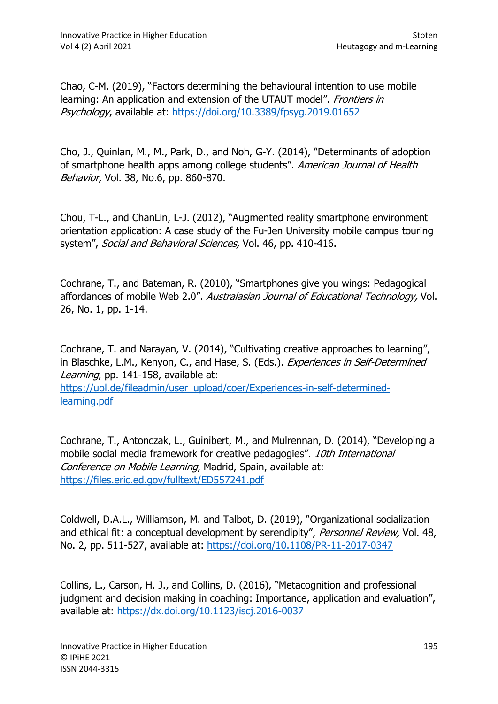Chao, C-M. (2019), "Factors determining the behavioural intention to use mobile learning: An application and extension of the UTAUT model". *Frontiers in* Psychology, available at: https://doi.org/10.3389/fpsyg.2019.01652

Cho, J., Quinlan, M., M., Park, D., and Noh, G-Y. (2014), "Determinants of adoption of smartphone health apps among college students". American Journal of Health Behavior, Vol. 38, No.6, pp. 860-870.

Chou, T-L., and ChanLin, L-J. (2012), "Augmented reality smartphone environment orientation application: A case study of the Fu-Jen University mobile campus touring system", Social and Behavioral Sciences, Vol. 46, pp. 410-416.

Cochrane, T., and Bateman, R. (2010), "Smartphones give you wings: Pedagogical affordances of mobile Web 2.0". Australasian Journal of Educational Technology, Vol. 26, No. 1, pp. 1-14.

Cochrane, T. and Narayan, V. (2014), "Cultivating creative approaches to learning", in Blaschke, L.M., Kenyon, C., and Hase, S. (Eds.). Experiences in Self-Determined Learning, pp. 141-158, available at: https://uol.de/fileadmin/user\_upload/coer/Experiences-in-self-determinedlearning.pdf

Cochrane, T., Antonczak, L., Guinibert, M., and Mulrennan, D. (2014), "Developing a mobile social media framework for creative pedagogies". 10th International Conference on Mobile Learning, Madrid, Spain, available at: https://files.eric.ed.gov/fulltext/ED557241.pdf

Coldwell, D.A.L., Williamson, M. and Talbot, D. (2019), "Organizational socialization and ethical fit: a conceptual development by serendipity", Personnel Review, Vol. 48, No. 2, pp. 511-527, available at: https://doi.org/10.1108/PR-11-2017-0347

Collins, L., Carson, H. J., and Collins, D. (2016), "Metacognition and professional judgment and decision making in coaching: Importance, application and evaluation", available at: https://dx.doi.org/10.1123/iscj.2016-0037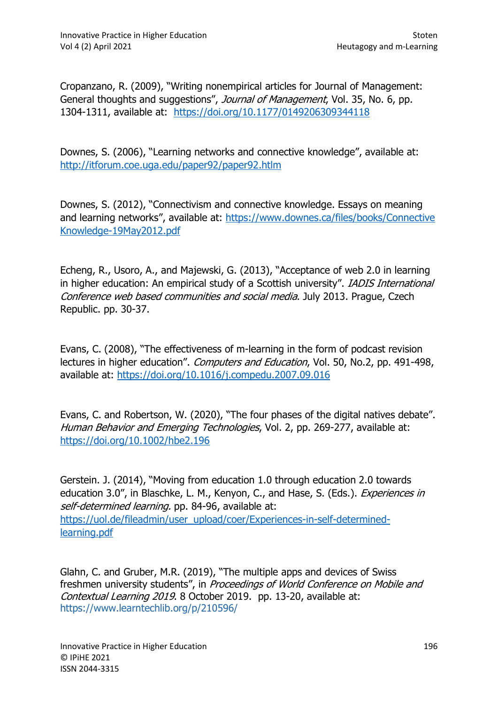Cropanzano, R. (2009), "Writing nonempirical articles for Journal of Management: General thoughts and suggestions", Journal of Management, Vol. 35, No. 6, pp. 1304-1311, available at: https://doi.org/10.1177/0149206309344118

Downes, S. (2006), "Learning networks and connective knowledge", available at: http://itforum.coe.uga.edu/paper92/paper92.htlm

Downes, S. (2012), "Connectivism and connective knowledge. Essays on meaning and learning networks", available at: https://www.downes.ca/files/books/Connective Knowledge-19May2012.pdf

Echeng, R., Usoro, A., and Majewski, G. (2013), "Acceptance of web 2.0 in learning in higher education: An empirical study of a Scottish university". IADIS International Conference web based communities and social media. July 2013. Prague, Czech Republic. pp. 30-37.

Evans, C. (2008), "The effectiveness of m-learning in the form of podcast revision lectures in higher education". Computers and Education, Vol. 50, No.2, pp. 491-498. available at: https://doi.org/10.1016/j.compedu.2007.09.016

Evans, C. and Robertson, W. (2020), "The four phases of the digital natives debate". Human Behavior and Emerging Technologies, Vol. 2, pp. 269-277, available at: https://doi.org/10.1002/hbe2.196

Gerstein. J. (2014), "Moving from education 1.0 through education 2.0 towards education 3.0", in Blaschke, L. M., Kenyon, C., and Hase, S. (Eds.). Experiences in self-determined learning. pp. 84-96, available at: https://uol.de/fileadmin/user\_upload/coer/Experiences-in-self-determinedlearning.pdf

Glahn, C. and Gruber, M.R. (2019), "The multiple apps and devices of Swiss freshmen university students", in Proceedings of World Conference on Mobile and Contextual Learning 2019. 8 October 2019. pp. 13-20, available at: https://www.learntechlib.org/p/210596/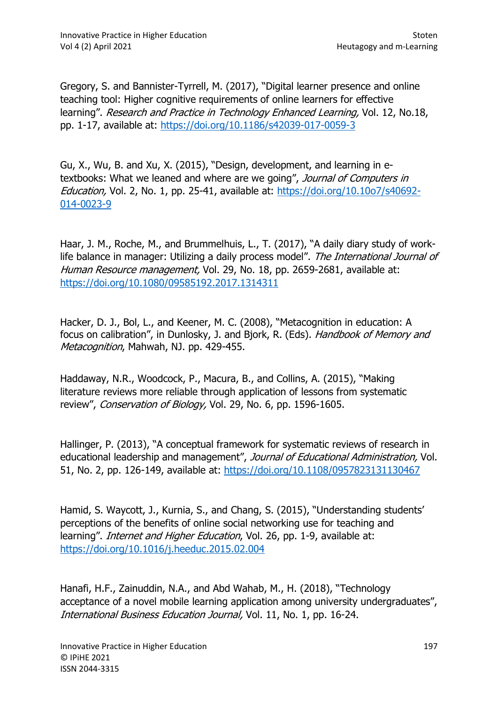Gregory, S. and Bannister-Tyrrell, M. (2017), "Digital learner presence and online teaching tool: Higher cognitive requirements of online learners for effective learning". Research and Practice in Technology Enhanced Learning, Vol. 12, No.18, pp. 1-17, available at: https://doi.org/10.1186/s42039-017-0059-3

Gu, X., Wu, B. and Xu, X. (2015), "Design, development, and learning in etextbooks: What we leaned and where are we going", Journal of Computers in Education, Vol. 2, No. 1, pp. 25-41, available at: https://doi.org/10.10o7/s40692- 014-0023-9

Haar, J. M., Roche, M., and Brummelhuis, L., T. (2017), "A daily diary study of worklife balance in manager: Utilizing a daily process model". The International Journal of Human Resource management, Vol. 29, No. 18, pp. 2659-2681, available at: https://doi.org/10.1080/09585192.2017.1314311

Hacker, D. J., Bol, L., and Keener, M. C. (2008), "Metacognition in education: A focus on calibration", in Dunlosky, J. and Bjork, R. (Eds). Handbook of Memory and Metacognition, Mahwah, NJ. pp. 429-455.

Haddaway, N.R., Woodcock, P., Macura, B., and Collins, A. (2015), "Making literature reviews more reliable through application of lessons from systematic review", Conservation of Biology, Vol. 29, No. 6, pp. 1596-1605.

Hallinger, P. (2013), "A conceptual framework for systematic reviews of research in educational leadership and management", Journal of Educational Administration, Vol. 51, No. 2, pp. 126-149, available at: https://doi.org/10.1108/0957823131130467

Hamid, S. Waycott, J., Kurnia, S., and Chang, S. (2015), "Understanding students' perceptions of the benefits of online social networking use for teaching and learning". *Internet and Higher Education*, Vol. 26, pp. 1-9, available at: https://doi.org/10.1016/j.heeduc.2015.02.004

Hanafi, H.F., Zainuddin, N.A., and Abd Wahab, M., H. (2018), "Technology acceptance of a novel mobile learning application among university undergraduates", International Business Education Journal, Vol. 11, No. 1, pp. 16-24.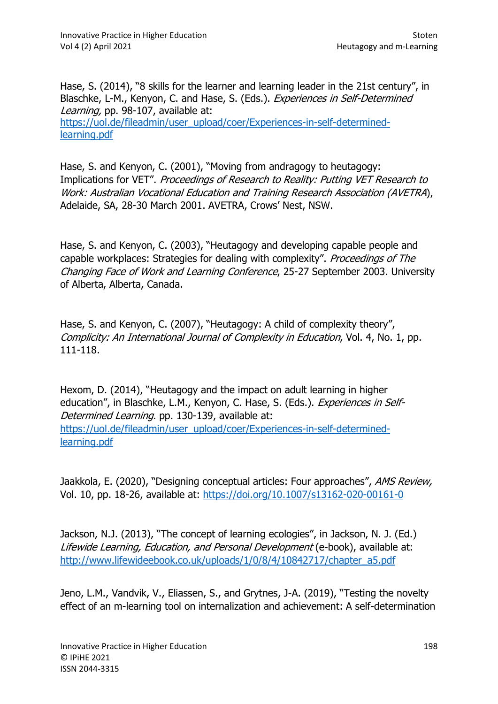Hase, S. (2014), "8 skills for the learner and learning leader in the 21st century", in Blaschke, L-M., Kenyon, C. and Hase, S. (Eds.). Experiences in Self-Determined Learning, pp. 98-107, available at: https://uol.de/fileadmin/user\_upload/coer/Experiences-in-self-determinedlearning.pdf

Hase, S. and Kenyon, C. (2001), "Moving from andragogy to heutagogy: Implications for VET". Proceedings of Research to Reality: Putting VET Research to Work: Australian Vocational Education and Training Research Association (AVETRA), Adelaide, SA, 28-30 March 2001. AVETRA, Crows' Nest, NSW.

Hase, S. and Kenyon, C. (2003), "Heutagogy and developing capable people and capable workplaces: Strategies for dealing with complexity". Proceedings of The Changing Face of Work and Learning Conference, 25-27 September 2003. University of Alberta, Alberta, Canada.

Hase, S. and Kenyon, C. (2007), "Heutagogy: A child of complexity theory", Complicity: An International Journal of Complexity in Education, Vol. 4, No. 1, pp. 111-118.

Hexom, D. (2014), "Heutagogy and the impact on adult learning in higher education", in Blaschke, L.M., Kenyon, C. Hase, S. (Eds.). Experiences in Self-Determined Learning. pp. 130-139, available at: https://uol.de/fileadmin/user\_upload/coer/Experiences-in-self-determinedlearning.pdf

Jaakkola, E. (2020), "Designing conceptual articles: Four approaches", AMS Review, Vol. 10, pp. 18-26, available at: https://doi.org/10.1007/s13162-020-00161-0

Jackson, N.J. (2013), "The concept of learning ecologies", in Jackson, N. J. (Ed.) Lifewide Learning, Education, and Personal Development (e-book), available at: http://www.lifewideebook.co.uk/uploads/1/0/8/4/10842717/chapter\_a5.pdf

Jeno, L.M., Vandvik, V., Eliassen, S., and Grytnes, J-A. (2019), "Testing the novelty effect of an m-learning tool on internalization and achievement: A self-determination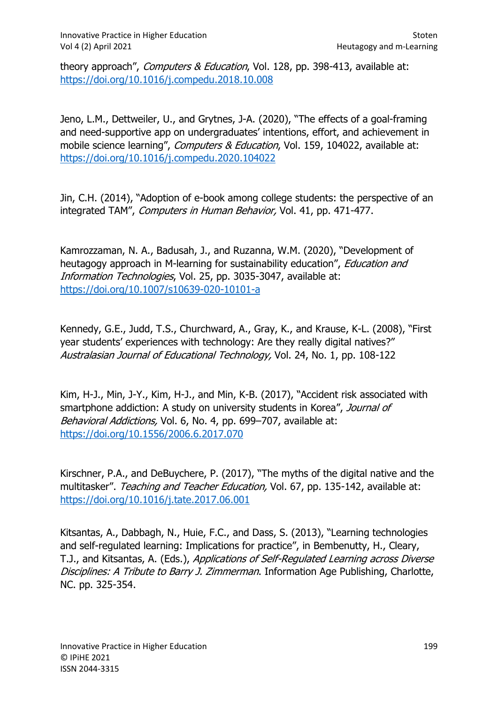theory approach", Computers & Education, Vol. 128, pp. 398-413, available at: https://doi.org/10.1016/j.compedu.2018.10.008

Jeno, L.M., Dettweiler, U., and Grytnes, J-A. (2020), "The effects of a goal-framing and need-supportive app on undergraduates' intentions, effort, and achievement in mobile science learning", Computers & Education, Vol. 159, 104022, available at: https://doi.org/10.1016/j.compedu.2020.104022

Jin, C.H. (2014), "Adoption of e-book among college students: the perspective of an integrated TAM", Computers in Human Behavior, Vol. 41, pp. 471-477.

Kamrozzaman, N. A., Badusah, J., and Ruzanna, W.M. (2020), "Development of heutagogy approach in M-learning for sustainability education", *Education and* Information Technologies, Vol. 25, pp. 3035-3047, available at: https://doi.org/10.1007/s10639-020-10101-a

Kennedy, G.E., Judd, T.S., Churchward, A., Gray, K., and Krause, K-L. (2008), "First year students' experiences with technology: Are they really digital natives?" Australasian Journal of Educational Technology, Vol. 24, No. 1, pp. 108-122

Kim, H-J., Min, J-Y., Kim, H-J., and Min, K-B. (2017), "Accident risk associated with smartphone addiction: A study on university students in Korea", Journal of Behavioral Addictions, Vol. 6, No. 4, pp. 699-707, available at: https://doi.org/10.1556/2006.6.2017.070

Kirschner, P.A., and DeBuychere, P. (2017), "The myths of the digital native and the multitasker". Teaching and Teacher Education, Vol. 67, pp. 135-142, available at: https://doi.org/10.1016/j.tate.2017.06.001

Kitsantas, A., Dabbagh, N., Huie, F.C., and Dass, S. (2013), "Learning technologies and self-regulated learning: Implications for practice", in Bembenutty, H., Cleary, T.J., and Kitsantas, A. (Eds.), Applications of Self-Regulated Learning across Diverse Disciplines: A Tribute to Barry J. Zimmerman. Information Age Publishing, Charlotte, NC. pp. 325-354.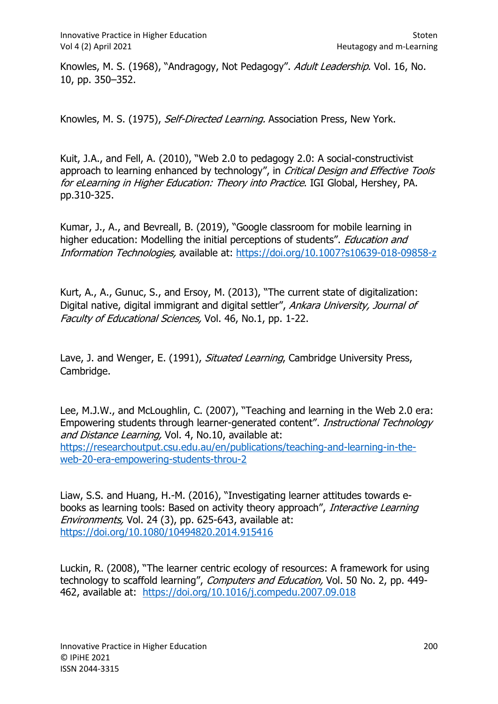Knowles, M. S. (1968), "Andragogy, Not Pedagogy". Adult Leadership. Vol. 16, No. 10, pp. 350–352.

Knowles, M. S. (1975), Self-Directed Learning. Association Press, New York.

Kuit, J.A., and Fell, A. (2010), "Web 2.0 to pedagogy 2.0: A social-constructivist approach to learning enhanced by technology", in Critical Design and Effective Tools for eLearning in Higher Education: Theory into Practice. IGI Global, Hershey, PA. pp.310-325.

Kumar, J., A., and Bevreall, B. (2019), "Google classroom for mobile learning in higher education: Modelling the initial perceptions of students". Education and Information Technologies, available at: https://doi.org/10.1007?s10639-018-09858-z

Kurt, A., A., Gunuc, S., and Ersoy, M. (2013), "The current state of digitalization: Digital native, digital immigrant and digital settler", Ankara University, Journal of Faculty of Educational Sciences, Vol. 46, No.1, pp. 1-22.

Lave, J. and Wenger, E. (1991), Situated Learning, Cambridge University Press, Cambridge.

Lee, M.J.W., and McLoughlin, C. (2007), "Teaching and learning in the Web 2.0 era: Empowering students through learner-generated content". Instructional Technology and Distance Learning, Vol. 4, No.10, available at: https://researchoutput.csu.edu.au/en/publications/teaching-and-learning-in-theweb-20-era-empowering-students-throu-2

Liaw, S.S. and Huang, H.-M. (2016), "Investigating learner attitudes towards ebooks as learning tools: Based on activity theory approach", *Interactive Learning* Environments, Vol. 24 (3), pp. 625-643, available at: https://doi.org/10.1080/10494820.2014.915416

Luckin, R. (2008), "The learner centric ecology of resources: A framework for using technology to scaffold learning", Computers and Education, Vol. 50 No. 2, pp. 449-462, available at: https://doi.org/10.1016/j.compedu.2007.09.018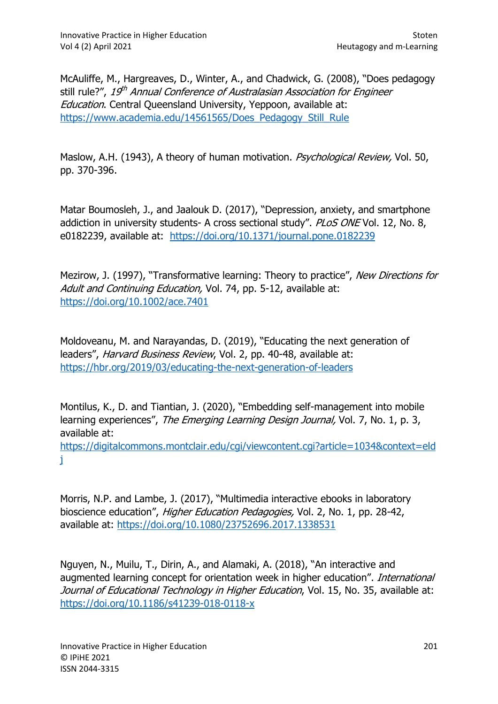McAuliffe, M., Hargreaves, D., Winter, A., and Chadwick, G. (2008), "Does pedagogy still rule?", *19<sup>th</sup> Annual Conference of Australasian Association for Engineer* Education. Central Queensland University, Yeppoon, available at: https://www.academia.edu/14561565/Does\_Pedagogy\_Still\_Rule

Maslow, A.H. (1943), A theory of human motivation. *Psychological Review,* Vol. 50, pp. 370-396.

Matar Boumosleh, J., and Jaalouk D. (2017), "Depression, anxiety, and smartphone addiction in university students- A cross sectional study". PLoS ONE Vol. 12, No. 8, e0182239, available at: https://doi.org/10.1371/journal.pone.0182239

Mezirow, J. (1997), "Transformative learning: Theory to practice", New Directions for Adult and Continuing Education, Vol. 74, pp. 5-12, available at: https://doi.org/10.1002/ace.7401

Moldoveanu, M. and Narayandas, D. (2019), "Educating the next generation of leaders", Harvard Business Review, Vol. 2, pp. 40-48, available at: https://hbr.org/2019/03/educating-the-next-generation-of-leaders

Montilus, K., D. and Tiantian, J. (2020), "Embedding self-management into mobile learning experiences", The Emerging Learning Design Journal, Vol. 7, No. 1, p. 3, available at:

https://digitalcommons.montclair.edu/cgi/viewcontent.cgi?article=1034&context=eld j

Morris, N.P. and Lambe, J. (2017), "Multimedia interactive ebooks in laboratory bioscience education", Higher Education Pedagogies, Vol. 2, No. 1, pp. 28-42, available at: https://doi.org/10.1080/23752696.2017.1338531

Nguyen, N., Muilu, T., Dirin, A., and Alamaki, A. (2018), "An interactive and augmented learning concept for orientation week in higher education". International Journal of Educational Technology in Higher Education, Vol. 15, No. 35, available at: https://doi.org/10.1186/s41239-018-0118-x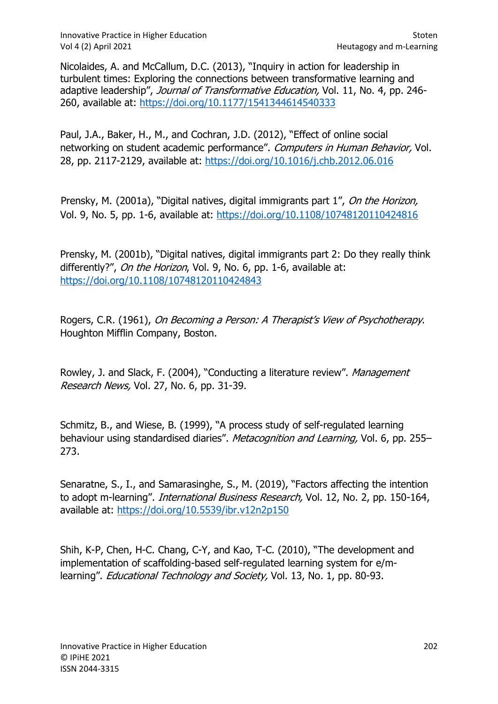Nicolaides, A. and McCallum, D.C. (2013), "Inquiry in action for leadership in turbulent times: Exploring the connections between transformative learning and adaptive leadership", Journal of Transformative Education, Vol. 11, No. 4, pp. 246-260, available at: https://doi.org/10.1177/1541344614540333

Paul, J.A., Baker, H., M., and Cochran, J.D. (2012), "Effect of online social networking on student academic performance". Computers in Human Behavior, Vol. 28, pp. 2117-2129, available at: https://doi.org/10.1016/j.chb.2012.06.016

Prensky, M. (2001a), "Digital natives, digital immigrants part 1", On the Horizon, Vol. 9, No. 5, pp. 1-6, available at: https://doi.org/10.1108/10748120110424816

Prensky, M. (2001b), "Digital natives, digital immigrants part 2: Do they really think differently?", On the Horizon, Vol. 9, No. 6, pp. 1-6, available at: https://doi.org/10.1108/10748120110424843

Rogers, C.R. (1961), On Becoming a Person: A Therapist's View of Psychotherapy. Houghton Mifflin Company, Boston.

Rowley, J. and Slack, F. (2004), "Conducting a literature review". Management Research News, Vol. 27, No. 6, pp. 31-39.

Schmitz, B., and Wiese, B. (1999), "A process study of self-regulated learning behaviour using standardised diaries". Metacognition and Learning, Vol. 6, pp. 255– 273.

Senaratne, S., I., and Samarasinghe, S., M. (2019), "Factors affecting the intention to adopt m-learning". International Business Research, Vol. 12, No. 2, pp. 150-164, available at: https://doi.org/10.5539/ibr.v12n2p150

Shih, K-P, Chen, H-C. Chang, C-Y, and Kao, T-C. (2010), "The development and implementation of scaffolding-based self-regulated learning system for e/mlearning". *Educational Technology and Society*, Vol. 13, No. 1, pp. 80-93.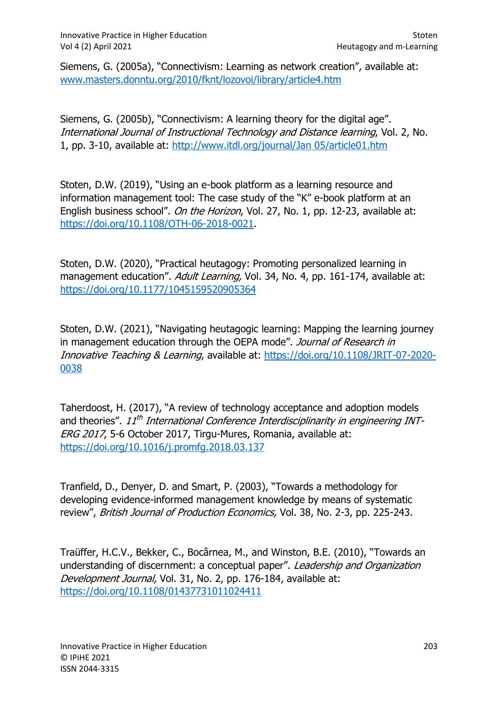Siemens, G. (2005a), "Connectivism: Learning as network creation", available at: www.masters.donntu.org/2010/fknt/lozovoi/library/article4.htm

Siemens, G. (2005b), "Connectivism: A learning theory for the digital age". International Journal of Instructional Technology and Distance learning, Vol. 2, No. 1, pp. 3-10, available at: http://www.itdl.org/journal/Jan 05/article01.htm

Stoten, D.W. (2019), "Using an e-book platform as a learning resource and information management tool: The case study of the "K" e-book platform at an English business school". On the Horizon, Vol. 27, No. 1, pp. 12-23, available at: https://doi.org/10.1108/OTH-06-2018-0021.

Stoten, D.W. (2020), "Practical heutagogy: Promoting personalized learning in management education". Adult Learning, Vol. 34, No. 4, pp. 161-174, available at: https://doi.org/10.1177/1045159520905364

Stoten, D.W. (2021), "Navigating heutagogic learning: Mapping the learning journey in management education through the OEPA mode". Journal of Research in Innovative Teaching & Learning, available at: https://doi.org/10.1108/JRIT-07-2020- 0038

Taherdoost, H. (2017), "A review of technology acceptance and adoption models and theories". 11<sup>th</sup> International Conference Interdisciplinarity in engineering INT-ERG 2017, 5-6 October 2017, Tirgu-Mures, Romania, available at: https://doi.org/10.1016/j.promfg.2018.03.137

Tranfield, D., Denyer, D. and Smart, P. (2003), "Towards a methodology for developing evidence-informed management knowledge by means of systematic review", British Journal of Production Economics, Vol. 38, No. 2-3, pp. 225-243.

Traüffer, H.C.V., Bekker, C., Bocârnea, M., and Winston, B.E. (2010), "Towards an understanding of discernment: a conceptual paper". Leadership and Organization Development Journal, Vol. 31, No. 2, pp. 176-184, available at: https://doi.org/10.1108/01437731011024411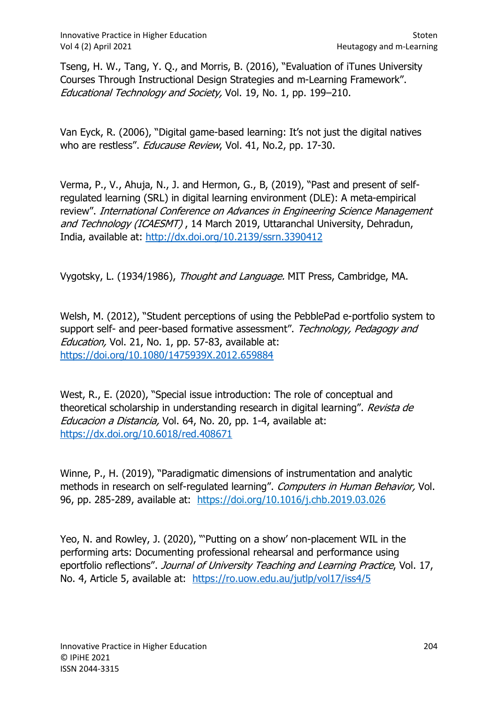Tseng, H. W., Tang, Y. Q., and Morris, B. (2016), "Evaluation of iTunes University Courses Through Instructional Design Strategies and m-Learning Framework". Educational Technology and Society, Vol. 19, No. 1, pp. 199–210.

Van Eyck, R. (2006), "Digital game-based learning: It's not just the digital natives who are restless". *Educause Review*, Vol. 41, No.2, pp. 17-30.

Verma, P., V., Ahuja, N., J. and Hermon, G., B, (2019), "Past and present of selfregulated learning (SRL) in digital learning environment (DLE): A meta-empirical review". International Conference on Advances in Engineering Science Management and Technology (ICAESMT), 14 March 2019, Uttaranchal University, Dehradun, India, available at: http://dx.doi.org/10.2139/ssrn.3390412

Vygotsky, L. (1934/1986), Thought and Language. MIT Press, Cambridge, MA.

Welsh, M. (2012), "Student perceptions of using the PebblePad e-portfolio system to support self- and peer-based formative assessment". Technology, Pedagogy and Education, Vol. 21, No. 1, pp. 57-83, available at: https://doi.org/10.1080/1475939X.2012.659884

West, R., E. (2020), "Special issue introduction: The role of conceptual and theoretical scholarship in understanding research in digital learning". Revista de Educacion a Distancia, Vol. 64, No. 20, pp. 1-4, available at: https://dx.doi.org/10.6018/red.408671

Winne, P., H. (2019), "Paradigmatic dimensions of instrumentation and analytic methods in research on self-regulated learning". Computers in Human Behavior, Vol. 96, pp. 285-289, available at: https://doi.org/10.1016/j.chb.2019.03.026

Yeo, N. and Rowley, J. (2020), "'Putting on a show' non-placement WIL in the performing arts: Documenting professional rehearsal and performance using eportfolio reflections". Journal of University Teaching and Learning Practice, Vol. 17, No. 4, Article 5, available at: https://ro.uow.edu.au/jutlp/vol17/iss4/5